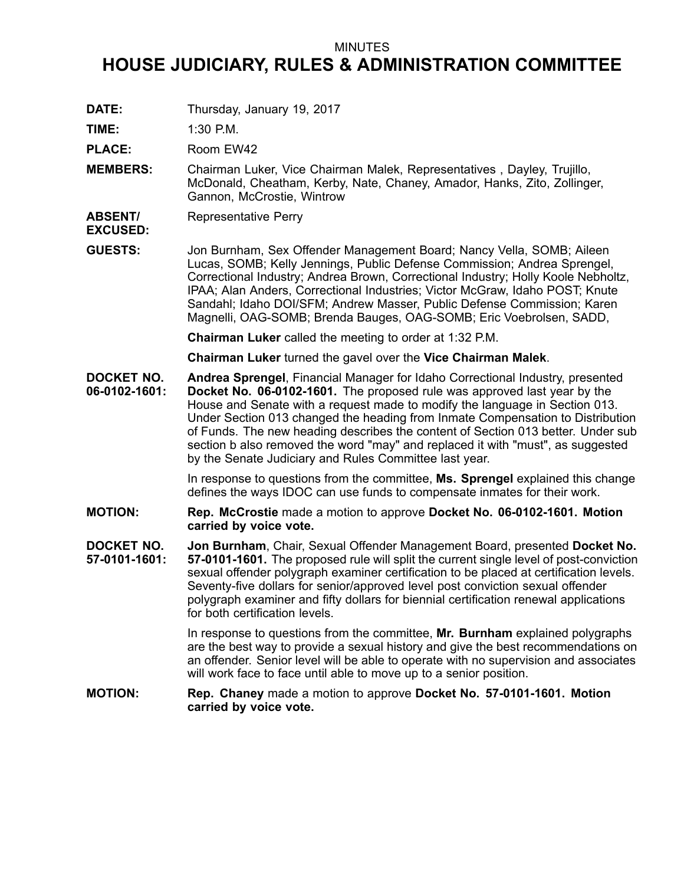## MINUTES

## **HOUSE JUDICIARY, RULES & ADMINISTRATION COMMITTEE**

**DATE:** Thursday, January 19, 2017

**TIME:** 1:30 P.M.

PLACE: Room EW42

- **MEMBERS:** Chairman Luker, Vice Chairman Malek, Representatives , Dayley, Trujillo, McDonald, Cheatham, Kerby, Nate, Chaney, Amador, Hanks, Zito, Zollinger, Gannon, McCrostie, Wintrow
- **ABSENT/** Representative Perry

**EXCUSED:**

**GUESTS:** Jon Burnham, Sex Offender Management Board; Nancy Vella, SOMB; Aileen Lucas, SOMB; Kelly Jennings, Public Defense Commission; Andrea Sprengel, Correctional Industry; Andrea Brown, Correctional Industry; Holly Koole Nebholtz, IPAA; Alan Anders, Correctional Industries; Victor McGraw, Idaho POST; Knute Sandahl; Idaho DOI/SFM; Andrew Masser, Public Defense Commission; Karen Magnelli, OAG-SOMB; Brenda Bauges, OAG-SOMB; Eric Voebrolsen, SADD,

**Chairman Luker** called the meeting to order at 1:32 P.M.

**Chairman Luker** turned the gavel over the **Vice Chairman Malek**.

**DOCKET NO. 06-0102-1601: Andrea Sprengel**, Financial Manager for Idaho Correctional Industry, presented **Docket No. 06-0102-1601.** The proposed rule was approved last year by the House and Senate with <sup>a</sup> request made to modify the language in Section 013. Under Section 013 changed the heading from Inmate Compensation to Distribution of Funds. The new heading describes the content of Section 013 better. Under sub section b also removed the word "may" and replaced it with "must", as suggested by the Senate Judiciary and Rules Committee last year.

> In response to questions from the committee, **Ms. Sprengel** explained this change defines the ways IDOC can use funds to compensate inmates for their work.

- **MOTION: Rep. McCrostie** made <sup>a</sup> motion to approve **Docket No. 06-0102-1601. Motion carried by voice vote.**
- **DOCKET NO. 57-0101-1601: Jon Burnham**, Chair, Sexual Offender Management Board, presented **Docket No. 57-0101-1601.** The proposed rule will split the current single level of post-conviction sexual offender polygraph examiner certification to be placed at certification levels. Seventy-five dollars for senior/approved level post conviction sexual offender polygraph examiner and fifty dollars for biennial certification renewal applications for both certification levels.

In response to questions from the committee, **Mr. Burnham** explained polygraphs are the best way to provide <sup>a</sup> sexual history and give the best recommendations on an offender. Senior level will be able to operate with no supervision and associates will work face to face until able to move up to <sup>a</sup> senior position.

**MOTION: Rep. Chaney** made <sup>a</sup> motion to approve **Docket No. 57-0101-1601. Motion carried by voice vote.**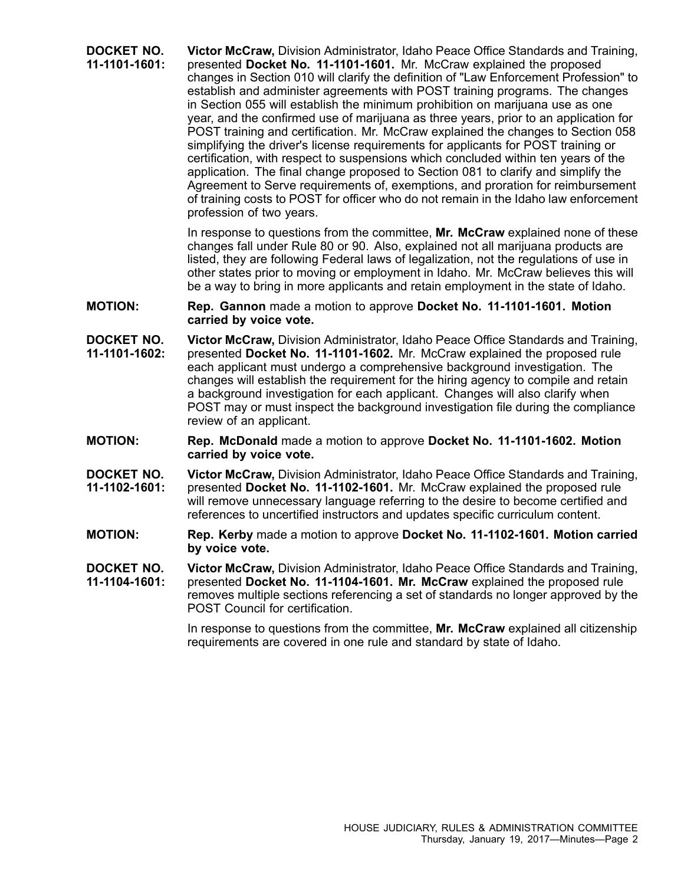**DOCKET NO. 11-1101-1601: Victor McCraw,** Division Administrator, Idaho Peace Office Standards and Training, presented **Docket No. 11-1101-1601.** Mr. McCraw explained the proposed changes in Section 010 will clarify the definition of "Law Enforcement Profession" to establish and administer agreements with POST training programs. The changes in Section 055 will establish the minimum prohibition on marijuana use as one year, and the confirmed use of marijuana as three years, prior to an application for POST training and certification. Mr. McCraw explained the changes to Section 058 simplifying the driver's license requirements for applicants for POST training or certification, with respect to suspensions which concluded within ten years of the application. The final change proposed to Section 081 to clarify and simplify the Agreement to Serve requirements of, exemptions, and proration for reimbursement of training costs to POST for officer who do not remain in the Idaho law enforcement profession of two years.

> In response to questions from the committee, **Mr. McCraw** explained none of these changes fall under Rule 80 or 90. Also, explained not all marijuana products are listed, they are following Federal laws of legalization, not the regulations of use in other states prior to moving or employment in Idaho. Mr. McCraw believes this will be <sup>a</sup> way to bring in more applicants and retain employment in the state of Idaho.

- **MOTION: Rep. Gannon** made <sup>a</sup> motion to approve **Docket No. 11-1101-1601. Motion carried by voice vote.**
- **DOCKET NO. 11-1101-1602: Victor McCraw,** Division Administrator, Idaho Peace Office Standards and Training, presented **Docket No. 11-1101-1602.** Mr. McCraw explained the proposed rule each applicant must undergo <sup>a</sup> comprehensive background investigation. The changes will establish the requirement for the hiring agency to compile and retain <sup>a</sup> background investigation for each applicant. Changes will also clarify when POST may or must inspect the background investigation file during the compliance review of an applicant.
- **MOTION: Rep. McDonald** made <sup>a</sup> motion to approve **Docket No. 11-1101-1602. Motion carried by voice vote.**
- **DOCKET NO. 11-1102-1601: Victor McCraw,** Division Administrator, Idaho Peace Office Standards and Training, presented **Docket No. 11-1102-1601.** Mr. McCraw explained the proposed rule will remove unnecessary language referring to the desire to become certified and references to uncertified instructors and updates specific curriculum content.
- **MOTION: Rep. Kerby** made <sup>a</sup> motion to approve **Docket No. 11-1102-1601. Motion carried by voice vote.**
- **DOCKET NO. 11-1104-1601: Victor McCraw,** Division Administrator, Idaho Peace Office Standards and Training, presented **Docket No. 11-1104-1601. Mr. McCraw** explained the proposed rule removes multiple sections referencing <sup>a</sup> set of standards no longer approved by the POST Council for certification.

In response to questions from the committee, **Mr. McCraw** explained all citizenship requirements are covered in one rule and standard by state of Idaho.